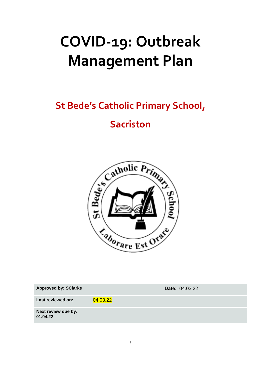# **COVID-19: Outbreak Management Plan**

## **St Bede's Catholic Primary School,**

### **Sacriston**



| <b>Approved by: SClarke</b>     |          | <b>Date: 04.03.22</b> |
|---------------------------------|----------|-----------------------|
| Last reviewed on:               | 04.03.22 |                       |
| Next review due by:<br>01.04.22 |          |                       |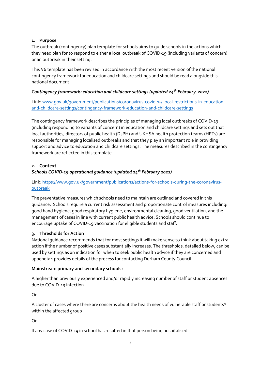#### **1. Purpose**

The outbreak (contingency) plan template for schools aims to guide schools in the actions which they need plan for to respond to either a local outbreak of COVID-19 (including variants of concern) or an outbreak in their setting.

This V6 template has been revised in accordance with the most recent version of the national contingency framework for education and childcare settings and should be read alongside this national document.

#### *Contingency framework: education and childcare settings (updated 24th February 2022)*

Link: [www.gov.uk/government/publications/coronavirus-covid-19-local-restrictions-in-education](http://www.gov.uk/government/publications/coronavirus-covid-19-local-restrictions-in-education-and-childcare-settings/contingency-framework-education-and-childcare-settings)[and-childcare-settings/contingency-framework-education-and-childcare-settings](http://www.gov.uk/government/publications/coronavirus-covid-19-local-restrictions-in-education-and-childcare-settings/contingency-framework-education-and-childcare-settings)

The contingency framework describes the principles of managing local outbreaks of COVID-19 (including responding to variants of concern) in education and childcare settings and sets out that local authorities, directors of public health (DsPH) and UKHSA health protection teams (HPTs) are responsible for managing localised outbreaks and that they play an important role in providing support and advice to education and childcare settings. The measures described in the contingency framework are reflected in this template.

#### **2. Context**

#### *Schools COVID-19 operational guidance (updated 24th February 2022)*

#### Link[: https://www.gov.uk/government/publications/actions-for-schools-during-the-coronavirus](https://www.gov.uk/government/publications/actions-for-schools-during-the-coronavirus-outbreak)[outbreak](https://www.gov.uk/government/publications/actions-for-schools-during-the-coronavirus-outbreak)

The preventative measures which schools need to maintain are outlined and covered in this guidance. Schools require a current risk assessment and proportionate control measures including: good hand hygiene, good respiratory hygiene, environmental cleaning, good ventilation, and the management of cases in line with current public health advice. Schools should continue to encourage uptake of COVID-19 vaccination for eligible students and staff.

#### **3. Thresholds for Action**

National guidance recommends that for most settings it will make sense to think about taking extra action if the number of positive cases substantially increases. The thresholds, detailed below, can be used by settings as an indication for when to seek public health advice if they are concerned and appendix 1 provides details of the process for contacting Durham County Council.

#### **Mainstream primary and secondary schools:**

A higher than previously experienced and/or rapidly increasing number of staff or student absences due to COVID-19 infection

Or

A cluster of cases where there are concerns about the health needs of vulnerable staff or students\* within the affected group

Or

If any case of COVID-19 in school has resulted in that person being hospitalised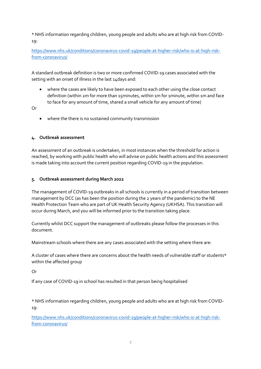\* NHS information regarding children, young people and adults who are at high risk from COVID-19:

[https://www.nhs.uk/conditions/coronavirus-covid-19/people-at-higher-risk/who-is-at-high-risk](https://www.nhs.uk/conditions/coronavirus-covid-19/people-at-higher-risk/who-is-at-high-risk-from-coronavirus/)[from-coronavirus/](https://www.nhs.uk/conditions/coronavirus-covid-19/people-at-higher-risk/who-is-at-high-risk-from-coronavirus/)

A standard outbreak definition is two or more confirmed COVID-19 cases associated with the setting with an onset of illness in the last 14days and:

 where the cases are likely to have been exposed to each other using the close contact definition (within 2m for more than 15minutes, within 1m for 1minute, within 1m and face to face for any amount of time, shared a small vehicle for any amount of time)

Or

where the there is no sustained community transmission

#### **4. Outbreak assessment**

An assessment of an outbreak is undertaken, in most instances when the threshold for action is reached, by working with public health who will advise on public health actions and this assessment is made taking into account the current position regarding COVID-19 in the population.

#### **5. Outbreak assessment during March 2022**

The management of COVID-19 outbreaks in all schools is currently in a period of transition between management by DCC (as has been the position during the 2 years of the pandemic) to the NE Health Protection Team who are part of UK Health Security Agency (UKHSA). This transition will occur during March, and you will be informed prior to the transition taking place.

Currently whilst DCC support the management of outbreaks please follow the processes in this document.

Mainstream schools where there are any cases associated with the setting where there are:

A cluster of cases where there are concerns about the health needs of vulnerable staff or students\* within the affected group

Or

If any case of COVID-19 in school has resulted in that person being hospitalised

\* NHS information regarding children, young people and adults who are at high risk from COVID-19:

[https://www.nhs.uk/conditions/coronavirus-covid-19/people-at-higher-risk/who-is-at-high-risk](https://www.nhs.uk/conditions/coronavirus-covid-19/people-at-higher-risk/who-is-at-high-risk-from-coronavirus/)[from-coronavirus/](https://www.nhs.uk/conditions/coronavirus-covid-19/people-at-higher-risk/who-is-at-high-risk-from-coronavirus/)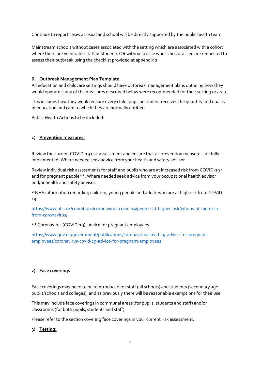Continue to report cases as usual and school will be directly supported by the public health team.

Mainstream schools without cases associated with the setting which are associated with a cohort where there are vulnerable staff or students OR without a case who is hospitalised are requested to assess their outbreak using the checklist provided at appendix 2

#### **6. Outbreak Management Plan Template**

All education and childcare settings should have outbreak management plans outlining how they would operate if any of the measures described below were recommended for their setting or area.

This includes how they would ensure every child, pupil or student receives the quantity and quality of education and care to which they are normally entitled.

Public Health Actions to be included:

#### **1) Prevention measures:**

Review the current COVID-19 risk assessment and ensure that all prevention measures are fully implemented. Where needed seek advice from your health and safety advisor.

Review individual risk assessments for staff and pupils who are at increased risk from COVID-19\* and for pregnant people\*\*. Where needed seek advice from your occupational health advisor and/or health and safety advisor.

\* NHS information regarding children, young people and adults who are at high risk from COVID-19:

[https://www.nhs.uk/conditions/coronavirus-covid-19/people-at-higher-risk/who-is-at-high-risk](https://www.nhs.uk/conditions/coronavirus-covid-19/people-at-higher-risk/who-is-at-high-risk-from-coronavirus/)[from-coronavirus/](https://www.nhs.uk/conditions/coronavirus-covid-19/people-at-higher-risk/who-is-at-high-risk-from-coronavirus/)

**\*\*** Coronavirus (COVID-19): advice for pregnant employees

[https://www.gov.uk/government/publications/coronavirus-covid-19-advice-for-pregnant](https://www.gov.uk/government/publications/coronavirus-covid-19-advice-for-pregnant-employees/coronavirus-covid-19-advice-for-pregnant-employees)[employees/coronavirus-covid-19-advice-for-pregnant-employees](https://www.gov.uk/government/publications/coronavirus-covid-19-advice-for-pregnant-employees/coronavirus-covid-19-advice-for-pregnant-employees)

#### **2) Face coverings**

Face coverings may need to be reintroduced for staff (all schools) and students (secondary age pupils/schools and colleges), and as previously there will be reasonable exemptions for their use.

This may include face coverings in communal areas (for pupils, students and staff) and/or classrooms (for both pupils, students and staff).

Please refer to the section covering face coverings in your current risk assessment.

#### **3) Testing:**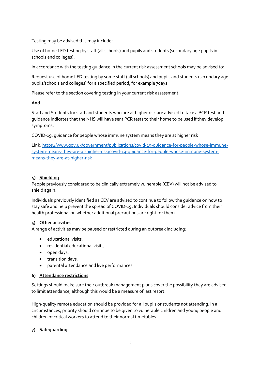Testing may be advised this may include:

Use of home LFD testing by staff (all schools) and pupils and students (secondary age pupils in schools and colleges).

In accordance with the testing guidance in the current risk assessment schools may be advised to:

Request use of home LFD testing by some staff (all schools) and pupils and students (secondary age pupils/schools and colleges) for a specified period, for example 7days.

Please refer to the section covering testing in your current risk assessment.

**And** 

Staff and Students for staff and students who are at higher risk are advised to take a PCR test and guidance indicates that the NHS will have sent PCR tests to their home to be used if they develop symptoms.

COVID-19: guidance for people whose immune system means they are at higher risk

Link: [https://www.gov.uk/government/publications/covid-19-guidance-for-people-whose-immune](https://www.gov.uk/government/publications/covid-19-guidance-for-people-whose-immune-system-means-they-are-at-higher-risk/covid-19-guidance-for-people-whose-immune-system-means-they-are-at-higher-risk)[system-means-they-are-at-higher-risk/covid-19-guidance-for-people-whose-immune-system](https://www.gov.uk/government/publications/covid-19-guidance-for-people-whose-immune-system-means-they-are-at-higher-risk/covid-19-guidance-for-people-whose-immune-system-means-they-are-at-higher-risk)[means-they-are-at-higher-risk](https://www.gov.uk/government/publications/covid-19-guidance-for-people-whose-immune-system-means-they-are-at-higher-risk/covid-19-guidance-for-people-whose-immune-system-means-they-are-at-higher-risk)

#### **4) Shielding**

People previously considered to be clinically extremely vulnerable (CEV) will not be advised to shield again.

Individuals previously identified as CEV are advised to continue to follow the guidance on how to stay safe and help prevent the spread of COVID-19. Individuals should consider advice from their health professional on whether additional precautions are right for them.

#### **5) Other activities**

A range of activities may be paused or restricted during an outbreak including:

- educational visits,
- residential educational visits,
- $\bullet$  open days,
- transition days,
- parental attendance and live performances.

#### **6) Attendance restrictions**

Settings should make sure their outbreak management plans cover the possibility they are advised to limit attendance, although this would be a measure of last resort.

High-quality remote education should be provided for all pupils or students not attending. In all circumstances, priority should continue to be given to vulnerable children and young people and children of critical workers to attend to their normal timetables.

#### **7) Safeguarding**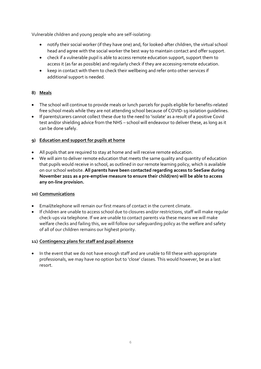Vulnerable children and young people who are self-isolating:

- notify their social worker (if they have one) and, for looked-after children, the virtual school head and agree with the social worker the best way to maintain contact and offer support.
- check if a vulnerable pupil is able to access remote education support, support them to access it (as far as possible) and regularly check if they are accessing remote education.
- keep in contact with them to check their wellbeing and refer onto other services if additional support is needed.

#### **8) Meals**

- The school will continue to provide meals or lunch parcels for pupils eligible for benefits-related free school meals while they are not attending school because of COVID-19 isolation guidelines.
- If parents/carers cannot collect these due to the need to 'isolate' as a result of a positive Covid test and/or shielding advice from the NHS – school will endeavour to deliver these, as long as it can be done safely.

#### **9) Education and support for pupils at home**

- All pupils that are required to stay at home and will receive remote education.
- We will aim to deliver remote education that meets the same quality and quantity of education that pupils would receive in school, as outlined in our remote learning policy, which is available on our school website. **All parents have been contacted regarding access to SeeSaw during November 2021 as a pre-emptive measure to ensure their child(ren) will be able to access any on-line provision.**

#### **10) Communications**

- Email/telephone will remain our first means of contact in the current climate.
- If children are unable to access school due to closures and/or restrictions, staff will make regular check-ups via telephone. If we are unable to contact parents via these means we will make welfare checks and failing this, we will follow our safeguarding policy as the welfare and safety of all of our children remains our highest priority.

#### **11) Contingency plans for staff and pupil absence**

 In the event that we do not have enough staff and are unable to fill these with appropriate professionals, we may have no option but to 'close' classes. This would however, be as a last resort.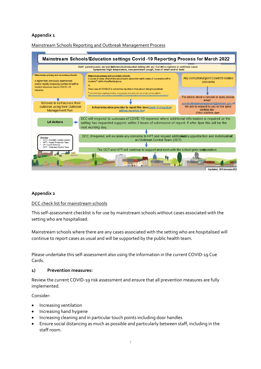#### **Appendix 1**

Mainstream Schools Reporting and Outbreak Management Process



#### **Appendix 2**

#### DCC check list for mainstream schools

This self-assessment checklist is for use by mainstream schools without cases associated with the setting who are hospitalised.

Mainstream schools where there are any cases associated with the setting who are hospitalised will continue to report cases as usual and will be supported by the public health team.

Please undertake this self-assessment also using the information in the current COVID-19 Cue Cards.

#### **1) Prevention measures:**

Review the current COVID-19 risk assessment and ensure that all prevention measures are fully implemented.

Consider:

- Increasing ventilation
- Increasing hand hygiene
- Increasing cleaning and in particular touch points including door handles
- Ensure social distancing as much as possible and particularly between staff, including in the staff room.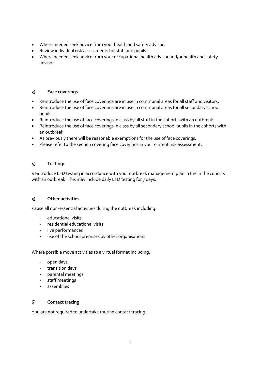- Where needed seek advice from your health and safety advisor.
- Review individual risk assessments for staff and pupils.
- Where needed seek advice from your occupational health advisor and/or health and safety advisor.

#### **3) Face coverings**

- Reintroduce the use of face coverings are in use in communal areas for all staff and visitors.
- Reintroduce the use of face coverings are in use in communal areas for all secondary school pupils.
- Reintroduce the use of face coverings in class by all staff in the cohorts with an outbreak.
- Reintroduce the use of face coverings in class by all secondary school pupils in the cohorts with an outbreak.
- As previously there will be reasonable exemptions for the use of face coverings.
- Please refer to the section covering face coverings in your current risk assessment.

#### **4) Testing:**

Reintroduce LFD testing in accordance with your outbreak management plan in the in the cohorts with an outbreak. This may include daily LFD testing for 7 days.

#### **5) Other activities**

Pause all non-essential activities during the outbreak including:

- educational visits
- residential educational visits
- live performances
- use of the school premises by other organisations.

Where possible move activities to a virtual format including:

- open days
- transition days
- parental meetings
- staff meetings
- assemblies

#### **6) Contact tracing**

You are not required to undertake routine contact tracing.